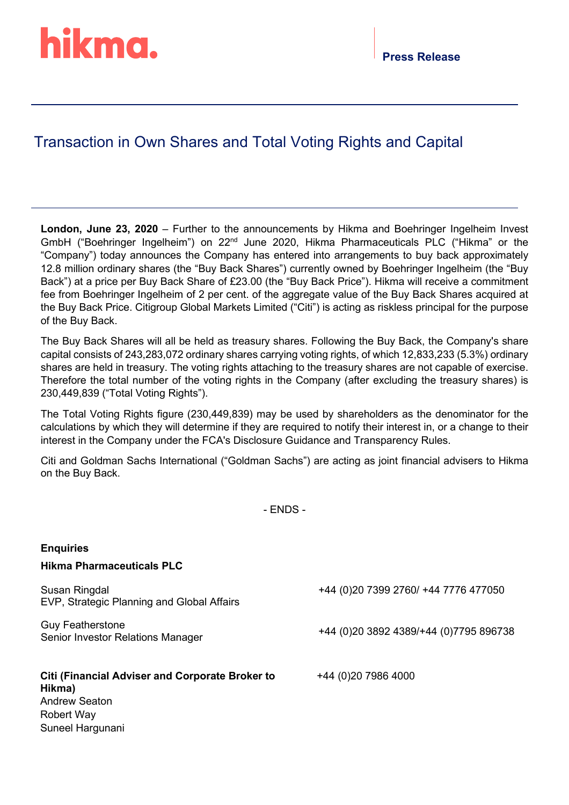# hikma.

### Transaction in Own Shares and Total Voting Rights and Capital

**London, June 23, 2020** – Further to the announcements by Hikma and Boehringer Ingelheim Invest GmbH ("Boehringer Ingelheim") on 22nd June 2020, Hikma Pharmaceuticals PLC ("Hikma" or the "Company") today announces the Company has entered into arrangements to buy back approximately 12.8 million ordinary shares (the "Buy Back Shares") currently owned by Boehringer Ingelheim (the "Buy Back") at a price per Buy Back Share of £23.00 (the "Buy Back Price"). Hikma will receive a commitment fee from Boehringer Ingelheim of 2 per cent. of the aggregate value of the Buy Back Shares acquired at the Buy Back Price. Citigroup Global Markets Limited ("Citi") is acting as riskless principal for the purpose of the Buy Back.

The Buy Back Shares will all be held as treasury shares. Following the Buy Back, the Company's share capital consists of 243,283,072 ordinary shares carrying voting rights, of which 12,833,233 (5.3%) ordinary shares are held in treasury. The voting rights attaching to the treasury shares are not capable of exercise. Therefore the total number of the voting rights in the Company (after excluding the treasury shares) is 230,449,839 ("Total Voting Rights").

The Total Voting Rights figure (230,449,839) may be used by shareholders as the denominator for the calculations by which they will determine if they are required to notify their interest in, or a change to their interest in the Company under the FCA's Disclosure Guidance and Transparency Rules.

Citi and Goldman Sachs International ("Goldman Sachs") are acting as joint financial advisers to Hikma on the Buy Back.

- ENDS -

| <b>Enquiries</b>                                                 |                                          |
|------------------------------------------------------------------|------------------------------------------|
| <b>Hikma Pharmaceuticals PLC</b>                                 |                                          |
| Susan Ringdal<br>EVP, Strategic Planning and Global Affairs      | +44 (0) 20 7399 2760/ +44 7776 477050    |
| <b>Guy Featherstone</b><br>Senior Investor Relations Manager     | +44 (0) 20 3892 4389/+44 (0) 7795 896738 |
| <b>Citi (Financial Adviser and Corporate Broker to</b><br>Hikma) | +44 (0)20 7986 4000                      |
| <b>Andrew Seaton</b>                                             |                                          |
| Robert Way                                                       |                                          |
| Suneel Hargunani                                                 |                                          |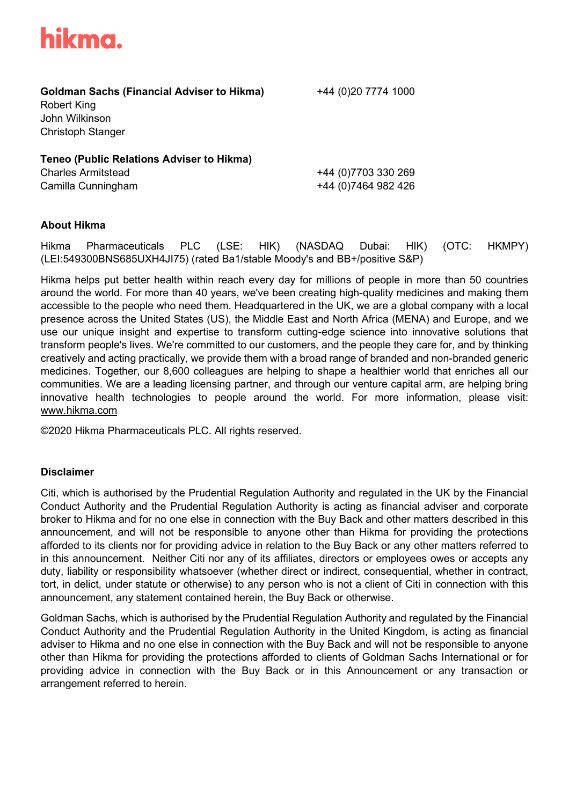

**Goldman Sachs (Financial Adviser to Hikma)** +44 (0)20 7774 1000

Robert King John Wilkinson Christoph Stanger

**Teneo (Public Relations Adviser to Hikma)** Charles Armitstead +44 (0)7703 330 269 Camilla Cunningham +44 (0)7464 982 426

#### **About Hikma**

Hikma Pharmaceuticals PLC (LSE: HIK) (NASDAQ Dubai: HIK) (OTC: HKMPY) (LEI:549300BNS685UXH4JI75) (rated Ba1/stable Moody's and BB+/positive S&P)

Hikma helps put better health within reach every day for millions of people in more than 50 countries around the world. For more than 40 years, we've been creating high-quality medicines and making them accessible to the people who need them. Headquartered in the UK, we are a global company with a local presence across the United States (US), the Middle East and North Africa (MENA) and Europe, and we use our unique insight and expertise to transform cutting-edge science into innovative solutions that transform people's lives. We're committed to our customers, and the people they care for, and by thinking creatively and acting practically, we provide them with a broad range of branded and non-branded generic medicines. Together, our 8,600 colleagues are helping to shape a healthier world that enriches all our communities. We are a leading licensing partner, and through our venture capital arm, are helping bring innovative health technologies to people around the world. For more information, please visit: www.hikma.com

©2020 Hikma Pharmaceuticals PLC. All rights reserved.

#### **Disclaimer**

Citi, which is authorised by the Prudential Regulation Authority and regulated in the UK by the Financial Conduct Authority and the Prudential Regulation Authority is acting as financial adviser and corporate broker to Hikma and for no one else in connection with the Buy Back and other matters described in this announcement, and will not be responsible to anyone other than Hikma for providing the protections afforded to its clients nor for providing advice in relation to the Buy Back or any other matters referred to in this announcement. Neither Citi nor any of its affiliates, directors or employees owes or accepts any duty, liability or responsibility whatsoever (whether direct or indirect, consequential, whether in contract, tort, in delict, under statute or otherwise) to any person who is not a client of Citi in connection with this announcement, any statement contained herein, the Buy Back or otherwise.

Goldman Sachs, which is authorised by the Prudential Regulation Authority and regulated by the Financial Conduct Authority and the Prudential Regulation Authority in the United Kingdom, is acting as financial adviser to Hikma and no one else in connection with the Buy Back and will not be responsible to anyone other than Hikma for providing the protections afforded to clients of Goldman Sachs International or for providing advice in connection with the Buy Back or in this Announcement or any transaction or arrangement referred to herein.